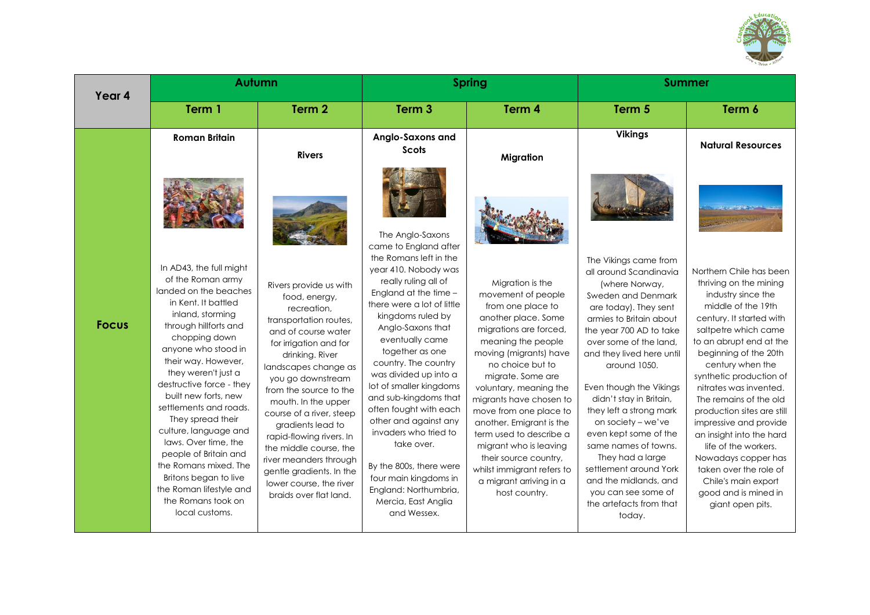

| Year 4       | Autumn                                                                                                                                                                                                                                                                                                                                                                                                                                                                                                 |                                                                                                                                                                                                                                                                                                                                                                                                                                                                      | <b>Spring</b>                                                                                                                                                                                                                                                                                                                                                                                                                                                                 |                                                                                                                                                                                                                                                                                                                                                                                                                                                                          | <b>Summer</b>                                                                                                                                                                                                                                                                                                                                                                                                                                                                         |                                                                                                                                                                                                                                                                                                                                                                                                                                                                                                               |
|--------------|--------------------------------------------------------------------------------------------------------------------------------------------------------------------------------------------------------------------------------------------------------------------------------------------------------------------------------------------------------------------------------------------------------------------------------------------------------------------------------------------------------|----------------------------------------------------------------------------------------------------------------------------------------------------------------------------------------------------------------------------------------------------------------------------------------------------------------------------------------------------------------------------------------------------------------------------------------------------------------------|-------------------------------------------------------------------------------------------------------------------------------------------------------------------------------------------------------------------------------------------------------------------------------------------------------------------------------------------------------------------------------------------------------------------------------------------------------------------------------|--------------------------------------------------------------------------------------------------------------------------------------------------------------------------------------------------------------------------------------------------------------------------------------------------------------------------------------------------------------------------------------------------------------------------------------------------------------------------|---------------------------------------------------------------------------------------------------------------------------------------------------------------------------------------------------------------------------------------------------------------------------------------------------------------------------------------------------------------------------------------------------------------------------------------------------------------------------------------|---------------------------------------------------------------------------------------------------------------------------------------------------------------------------------------------------------------------------------------------------------------------------------------------------------------------------------------------------------------------------------------------------------------------------------------------------------------------------------------------------------------|
|              | Term 1                                                                                                                                                                                                                                                                                                                                                                                                                                                                                                 | Term <sub>2</sub>                                                                                                                                                                                                                                                                                                                                                                                                                                                    | Term <sub>3</sub>                                                                                                                                                                                                                                                                                                                                                                                                                                                             | Term 4                                                                                                                                                                                                                                                                                                                                                                                                                                                                   | Term 5                                                                                                                                                                                                                                                                                                                                                                                                                                                                                | Term 6                                                                                                                                                                                                                                                                                                                                                                                                                                                                                                        |
|              | <b>Roman Britain</b>                                                                                                                                                                                                                                                                                                                                                                                                                                                                                   | <b>Rivers</b>                                                                                                                                                                                                                                                                                                                                                                                                                                                        | Anglo-Saxons and<br>Scots                                                                                                                                                                                                                                                                                                                                                                                                                                                     | <b>Migration</b>                                                                                                                                                                                                                                                                                                                                                                                                                                                         | <b>Vikings</b>                                                                                                                                                                                                                                                                                                                                                                                                                                                                        | <b>Natural Resources</b>                                                                                                                                                                                                                                                                                                                                                                                                                                                                                      |
|              | In AD43, the full might                                                                                                                                                                                                                                                                                                                                                                                                                                                                                |                                                                                                                                                                                                                                                                                                                                                                                                                                                                      | The Anglo-Saxons<br>came to England after<br>the Romans left in the<br>year 410. Nobody was                                                                                                                                                                                                                                                                                                                                                                                   |                                                                                                                                                                                                                                                                                                                                                                                                                                                                          | The Vikings came from<br>all around Scandinavia                                                                                                                                                                                                                                                                                                                                                                                                                                       | Northern Chile has been                                                                                                                                                                                                                                                                                                                                                                                                                                                                                       |
| <b>Focus</b> | of the Roman army<br>landed on the beaches<br>in Kent. It battled<br>inland, storming<br>through hillforts and<br>chopping down<br>anyone who stood in<br>their way. However,<br>they weren't just a<br>destructive force - they<br>built new forts, new<br>settlements and roads.<br>They spread their<br>culture, language and<br>laws. Over time, the<br>people of Britain and<br>the Romans mixed. The<br>Britons began to live<br>the Roman lifestyle and<br>the Romans took on<br>local customs. | Rivers provide us with<br>food, energy,<br>recreation,<br>transportation routes,<br>and of course water<br>for irrigation and for<br>drinking. River<br>landscapes change as<br>you go downstream<br>from the source to the<br>mouth. In the upper<br>course of a river, steep<br>gradients lead to<br>rapid-flowing rivers. In<br>the middle course, the<br>river meanders through<br>gentle gradients. In the<br>lower course, the river<br>braids over flat land. | really ruling all of<br>England at the time -<br>there were a lot of little<br>kingdoms ruled by<br>Anglo-Saxons that<br>eventually came<br>together as one<br>country. The country<br>was divided up into a<br>lot of smaller kingdoms<br>and sub-kingdoms that<br>often fought with each<br>other and against any<br>invaders who tried to<br>take over.<br>By the 800s, there were<br>four main kingdoms in<br>England: Northumbria,<br>Mercia, East Anglia<br>and Wessex. | Migration is the<br>movement of people<br>from one place to<br>another place. Some<br>migrations are forced,<br>meaning the people<br>moving (migrants) have<br>no choice but to<br>migrate. Some are<br>voluntary, meaning the<br>migrants have chosen to<br>move from one place to<br>another. Emigrant is the<br>term used to describe a<br>migrant who is leaving<br>their source country,<br>whilst immigrant refers to<br>a migrant arriving in a<br>host country. | (where Norway,<br>Sweden and Denmark<br>are today). They sent<br>armies to Britain about<br>the year 700 AD to take<br>over some of the land,<br>and they lived here until<br>around 1050.<br>Even though the Vikings<br>didn't stay in Britain,<br>they left a strong mark<br>on society - we've<br>even kept some of the<br>same names of towns.<br>They had a large<br>settlement around York<br>and the midlands, and<br>you can see some of<br>the artefacts from that<br>today. | thriving on the mining<br>industry since the<br>middle of the 19th<br>century. It started with<br>saltpetre which came<br>to an abrupt end at the<br>beginning of the 20th<br>century when the<br>synthetic production of<br>nitrates was invented.<br>The remains of the old<br>production sites are still<br>impressive and provide<br>an insight into the hard<br>life of the workers.<br>Nowadays copper has<br>taken over the role of<br>Chile's main export<br>good and is mined in<br>giant open pits. |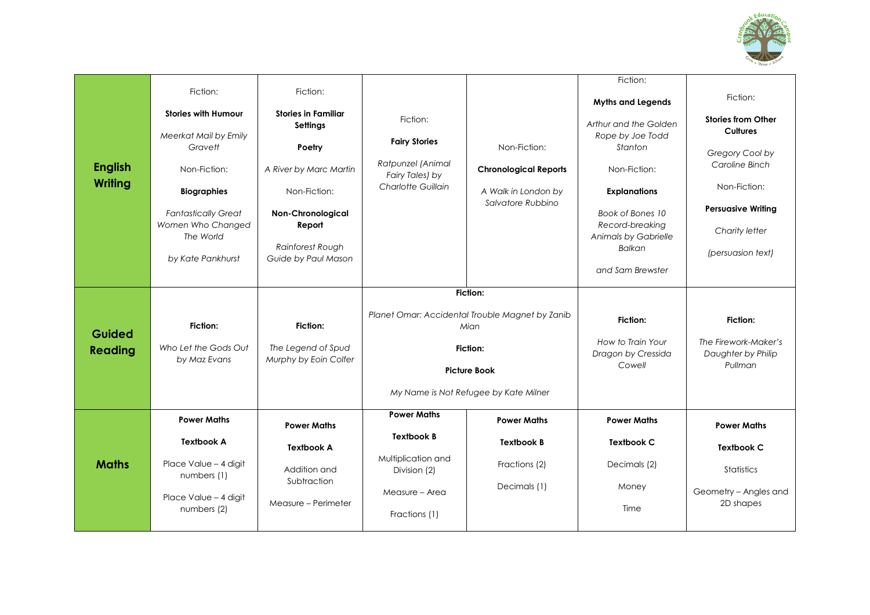

|                | Fiction:                             | Fiction:                                      |                                      |                                                         | Fiction:<br>Myths and Legends                  | Fiction:                           |
|----------------|--------------------------------------|-----------------------------------------------|--------------------------------------|---------------------------------------------------------|------------------------------------------------|------------------------------------|
|                | <b>Stories with Humour</b>           | <b>Stories in Familiar</b><br><b>Settings</b> | Fiction:                             |                                                         | Arthur and the Golden                          | <b>Stories from Other</b>          |
|                | Meerkat Mail by Emily<br>Gravett     | Poetry                                        | <b>Fairy Stories</b>                 | Non-Fiction:                                            | Rope by Joe Todd<br>Stanton                    | <b>Cultures</b><br>Gregory Cool by |
| <b>English</b> | Non-Fiction:                         | A River by Marc Martin                        | Ratpunzel (Animal<br>Fairy Tales) by | <b>Chronological Reports</b>                            | Non-Fiction:                                   | Caroline Binch                     |
| Writing        | <b>Biographies</b>                   | Non-Fiction:                                  | Charlotte Guillain                   | A Walk in London by<br>Salvatore Rubbino                | <b>Explanations</b>                            | Non-Fiction:                       |
|                | <b>Fantastically Great</b>           | <b>Non-Chronological</b>                      |                                      |                                                         | Book of Bones 10                               | <b>Persuasive Writing</b>          |
|                |                                      |                                               |                                      |                                                         |                                                |                                    |
|                | Women Who Changed<br>The World       | Report                                        |                                      |                                                         | Record-breaking<br><b>Animals by Gabrielle</b> | Charity letter                     |
|                |                                      | Rainforest Rough                              |                                      |                                                         | <b>Balkan</b>                                  | (persuasion text)                  |
|                | by Kate Pankhurst                    | Guide by Paul Mason                           |                                      |                                                         | and Sam Brewster                               |                                    |
|                |                                      |                                               |                                      |                                                         |                                                |                                    |
|                |                                      |                                               |                                      | Fiction:                                                |                                                |                                    |
|                |                                      |                                               |                                      |                                                         |                                                |                                    |
|                | Fiction:                             | Fiction:                                      |                                      | Planet Omar: Accidental Trouble Magnet by Zanib<br>Mian |                                                | Fiction:                           |
| Guided         |                                      |                                               |                                      |                                                         |                                                |                                    |
| <b>Reading</b> | Who Let the Gods Out                 | The Legend of Spud                            |                                      | Fiction:                                                | How to Train Your                              | The Firework-Maker's               |
|                | by Maz Evans                         | Murphy by Eoin Colfer                         |                                      |                                                         | Dragon by Cressida<br>Cowell                   | Daughter by Philip<br>Pullman      |
|                |                                      |                                               |                                      | <b>Picture Book</b>                                     |                                                |                                    |
|                |                                      |                                               |                                      | My Name is Not Refugee by Kate Milner                   |                                                |                                    |
|                |                                      |                                               |                                      |                                                         |                                                |                                    |
|                | <b>Power Maths</b>                   |                                               | <b>Power Maths</b>                   | <b>Power Maths</b>                                      | <b>Power Maths</b>                             |                                    |
|                |                                      | <b>Power Maths</b>                            | <b>Textbook B</b>                    |                                                         |                                                | <b>Power Maths</b>                 |
|                | <b>Textbook A</b>                    | <b>Textbook A</b>                             |                                      | <b>Textbook B</b>                                       | <b>Textbook C</b>                              | <b>Textbook C</b>                  |
| <b>Maths</b>   | Place Value - 4 digit<br>numbers (1) | Addition and                                  | Multiplication and<br>Division (2)   | Fractions (2)                                           | Decimals (2)                                   | Statistics                         |
|                | Place Value - 4 digit                | Subtraction                                   | Measure - Area                       | Decimals (1)                                            | Money                                          | Geometry - Angles and              |
|                | numbers (2)                          | Measure – Perimeter                           | Fractions (1)                        |                                                         | Time                                           | 2D shapes                          |
|                |                                      |                                               |                                      |                                                         |                                                |                                    |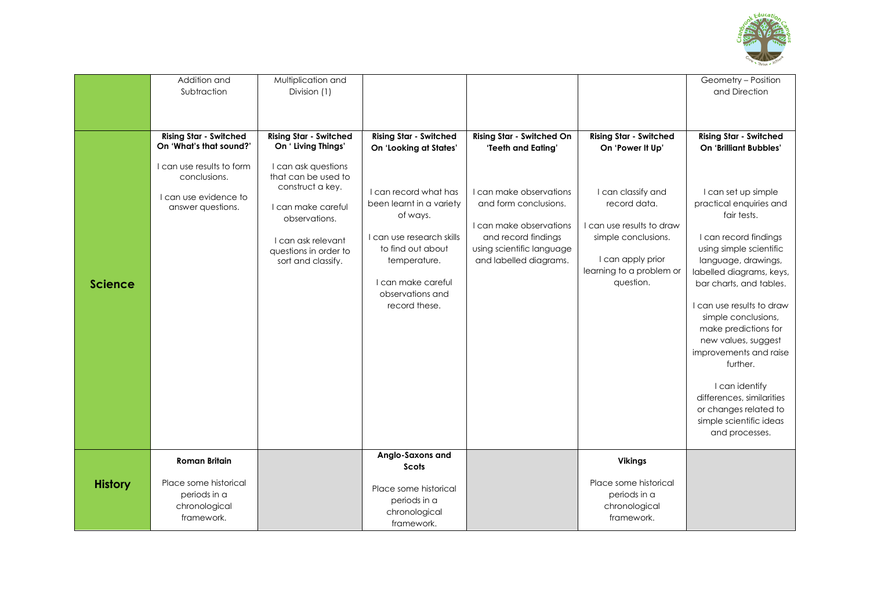

|                | Addition and<br>Subtraction                                                                                                                         | Multiplication and<br>Division (1)                                                                                                                                                                                                 |                                                                                                                                                                                                                                                       |                                                                                                                                                                                                                     |                                                                                                                                                                                                           | Geometry - Position<br>and Direction                                                                                                                                                                                                                                                                                                                                                                                                                                                                                     |
|----------------|-----------------------------------------------------------------------------------------------------------------------------------------------------|------------------------------------------------------------------------------------------------------------------------------------------------------------------------------------------------------------------------------------|-------------------------------------------------------------------------------------------------------------------------------------------------------------------------------------------------------------------------------------------------------|---------------------------------------------------------------------------------------------------------------------------------------------------------------------------------------------------------------------|-----------------------------------------------------------------------------------------------------------------------------------------------------------------------------------------------------------|--------------------------------------------------------------------------------------------------------------------------------------------------------------------------------------------------------------------------------------------------------------------------------------------------------------------------------------------------------------------------------------------------------------------------------------------------------------------------------------------------------------------------|
| <b>Science</b> | <b>Rising Star - Switched</b><br>On 'What's that sound?'<br>I can use results to form<br>conclusions.<br>I can use evidence to<br>answer questions. | <b>Rising Star - Switched</b><br>On ' Living Things'<br>I can ask questions<br>that can be used to<br>construct a key.<br>I can make careful<br>observations.<br>I can ask relevant<br>questions in order to<br>sort and classify. | <b>Rising Star - Switched</b><br>On 'Looking at States'<br>I can record what has<br>been learnt in a variety<br>of ways.<br>I can use research skills<br>to find out about<br>temperature.<br>I can make careful<br>observations and<br>record these. | <b>Rising Star - Switched On</b><br>'Teeth and Eating'<br>I can make observations<br>and form conclusions.<br>I can make observations<br>and record findings<br>using scientific language<br>and labelled diagrams. | <b>Rising Star - Switched</b><br>On 'Power It Up'<br>I can classify and<br>record data.<br>I can use results to draw<br>simple conclusions.<br>I can apply prior<br>learning to a problem or<br>question. | <b>Rising Star - Switched</b><br>On 'Brilliant Bubbles'<br>I can set up simple<br>practical enquiries and<br>fair tests.<br>I can record findings<br>using simple scientific<br>language, drawings,<br>labelled diagrams, keys,<br>bar charts, and tables.<br>I can use results to draw<br>simple conclusions,<br>make predictions for<br>new values, suggest<br>improvements and raise<br>further.<br>I can identify<br>differences, similarities<br>or changes related to<br>simple scientific ideas<br>and processes. |
| <b>History</b> | <b>Roman Britain</b><br>Place some historical<br>periods in a<br>chronological<br>framework.                                                        |                                                                                                                                                                                                                                    | Anglo-Saxons and<br>Scots<br>Place some historical<br>periods in a<br>chronological<br>framework.                                                                                                                                                     |                                                                                                                                                                                                                     | <b>Vikings</b><br>Place some historical<br>periods in a<br>chronological<br>framework.                                                                                                                    |                                                                                                                                                                                                                                                                                                                                                                                                                                                                                                                          |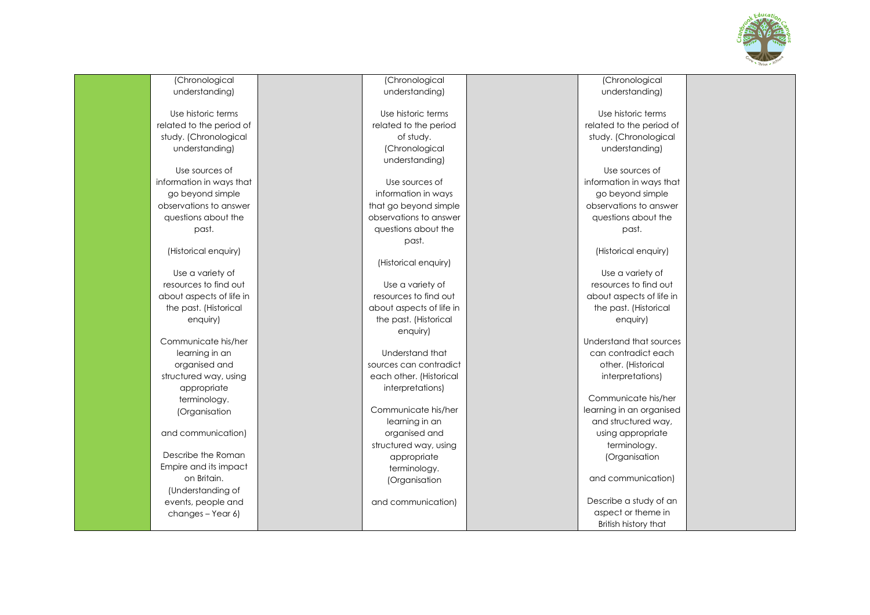

| (Chronological                         | (Chronological           | (Chronological                         |  |
|----------------------------------------|--------------------------|----------------------------------------|--|
| understanding)                         | understanding)           | understanding)                         |  |
|                                        |                          |                                        |  |
| Use historic terms                     | Use historic terms       | Use historic terms                     |  |
| related to the period of               | related to the period    | related to the period of               |  |
| study. (Chronological                  | of study.                | study. (Chronological                  |  |
| understanding)                         | (Chronological           | understanding)                         |  |
|                                        | understanding)           |                                        |  |
| Use sources of                         |                          | Use sources of                         |  |
| information in ways that               | Use sources of           | information in ways that               |  |
| go beyond simple                       | information in ways      | go beyond simple                       |  |
| observations to answer                 | that go beyond simple    | observations to answer                 |  |
| questions about the                    | observations to answer   | questions about the                    |  |
| past.                                  | questions about the      | past.                                  |  |
|                                        | past.                    |                                        |  |
| (Historical enquiry)                   |                          | (Historical enquiry)                   |  |
|                                        | (Historical enquiry)     |                                        |  |
| Use a variety of                       |                          | Use a variety of                       |  |
| resources to find out                  | Use a variety of         | resources to find out                  |  |
| about aspects of life in               | resources to find out    | about aspects of life in               |  |
| the past. (Historical                  | about aspects of life in | the past. (Historical                  |  |
| enquiry)                               | the past. (Historical    | enquiry)                               |  |
| Communicate his/her                    | enquiry)                 | Understand that sources                |  |
|                                        | Understand that          | can contradict each                    |  |
| learning in an                         | sources can contradict   |                                        |  |
| organised and<br>structured way, using | each other. (Historical  | other. (Historical<br>interpretations) |  |
|                                        |                          |                                        |  |
| appropriate                            | interpretations)         | Communicate his/her                    |  |
| terminology.                           | Communicate his/her      | learning in an organised               |  |
| (Organisation                          | learning in an           | and structured way,                    |  |
| and communication)                     | organised and            | using appropriate                      |  |
|                                        | structured way, using    | terminology.                           |  |
| Describe the Roman                     | appropriate              | (Organisation                          |  |
| Empire and its impact                  | terminology.             |                                        |  |
| on Britain.                            | (Organisation            | and communication)                     |  |
| (Understanding of                      |                          |                                        |  |
| events, people and                     | and communication)       | Describe a study of an                 |  |
| changes - Year 6)                      |                          | aspect or theme in                     |  |
|                                        |                          | British history that                   |  |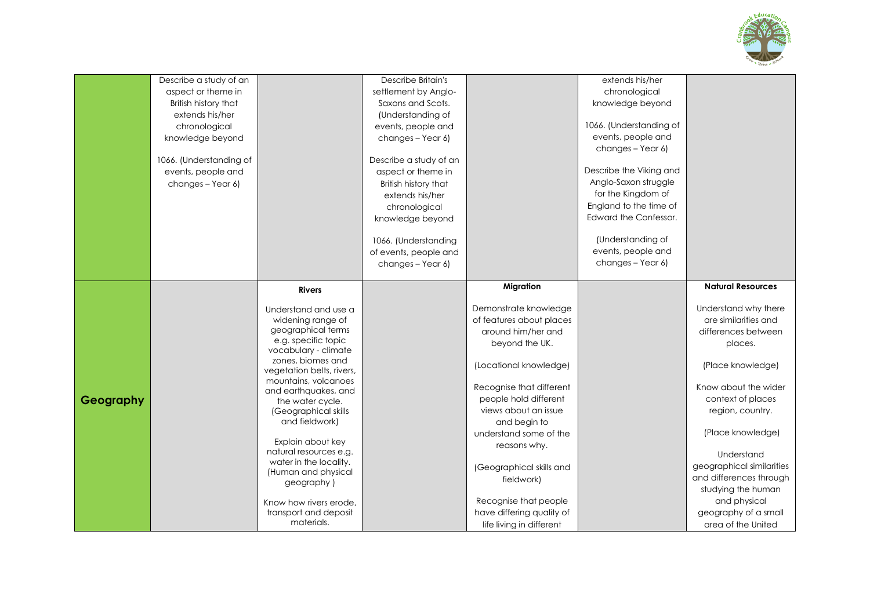

|           | Describe a study of an  |                                                   | Describe Britain's     |                           | extends his/her         |                           |
|-----------|-------------------------|---------------------------------------------------|------------------------|---------------------------|-------------------------|---------------------------|
|           | aspect or theme in      |                                                   | settlement by Anglo-   |                           | chronological           |                           |
|           | British history that    |                                                   | Saxons and Scots.      |                           | knowledge beyond        |                           |
|           | extends his/her         |                                                   | (Understanding of      |                           |                         |                           |
|           | chronological           |                                                   | events, people and     |                           | 1066. (Understanding of |                           |
|           | knowledge beyond        |                                                   | changes - Year 6)      |                           | events, people and      |                           |
|           |                         |                                                   |                        |                           | changes - Year 6)       |                           |
|           | 1066. (Understanding of |                                                   | Describe a study of an |                           |                         |                           |
|           | events, people and      |                                                   | aspect or theme in     |                           | Describe the Viking and |                           |
|           | changes - Year 6)       |                                                   | British history that   |                           | Anglo-Saxon struggle    |                           |
|           |                         |                                                   | extends his/her        |                           | for the Kingdom of      |                           |
|           |                         |                                                   | chronological          |                           | England to the time of  |                           |
|           |                         |                                                   | knowledge beyond       |                           | Edward the Confessor.   |                           |
|           |                         |                                                   |                        |                           |                         |                           |
|           |                         |                                                   | 1066. (Understanding   |                           | (Understanding of       |                           |
|           |                         |                                                   | of events, people and  |                           | events, people and      |                           |
|           |                         |                                                   | changes - Year 6)      |                           | changes - Year 6)       |                           |
|           |                         |                                                   |                        |                           |                         |                           |
|           |                         | <b>Rivers</b>                                     |                        | Migration                 |                         | <b>Natural Resources</b>  |
|           |                         |                                                   |                        |                           |                         |                           |
|           |                         | Understand and use a                              |                        | Demonstrate knowledge     |                         | Understand why there      |
|           |                         | widening range of                                 |                        | of features about places  |                         | are similarities and      |
|           |                         | geographical terms                                |                        | around him/her and        |                         | differences between       |
|           |                         | e.g. specific topic                               |                        | beyond the UK.            |                         | places.                   |
|           |                         | vocabulary - climate                              |                        |                           |                         |                           |
|           |                         | zones, biomes and                                 |                        | (Locational knowledge)    |                         | (Place knowledge)         |
|           |                         | vegetation belts, rivers,<br>mountains, volcanoes |                        |                           |                         |                           |
|           |                         | and earthquakes, and                              |                        | Recognise that different  |                         | Know about the wider      |
| Geography |                         | the water cycle.                                  |                        | people hold different     |                         | context of places         |
|           |                         | (Geographical skills                              |                        | views about an issue      |                         | region, country.          |
|           |                         | and fieldwork)                                    |                        | and begin to              |                         |                           |
|           |                         |                                                   |                        | understand some of the    |                         | (Place knowledge)         |
|           |                         | Explain about key                                 |                        | reasons why.              |                         |                           |
|           |                         | natural resources e.g.                            |                        |                           |                         | Understand                |
|           |                         | water in the locality.                            |                        | (Geographical skills and  |                         | geographical similarities |
|           |                         | (Human and physical                               |                        | fieldwork)                |                         | and differences through   |
|           |                         | geography)                                        |                        |                           |                         | studying the human        |
|           |                         | Know how rivers erode,                            |                        | Recognise that people     |                         | and physical              |
|           |                         | transport and deposit                             |                        | have differing quality of |                         | geography of a small      |
|           |                         | materials.                                        |                        |                           |                         |                           |
|           |                         |                                                   |                        | life living in different  |                         | area of the United        |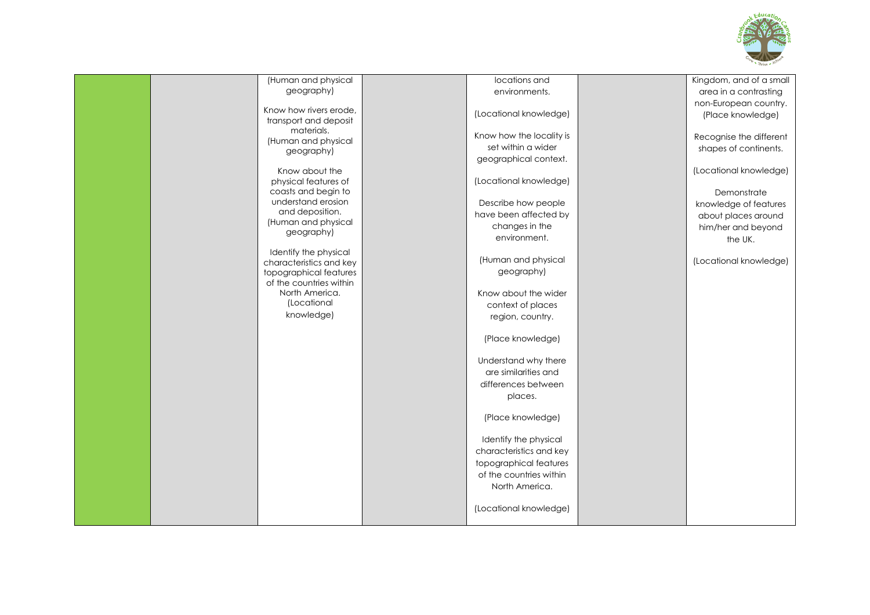

| (Human and physical<br>geography)<br>Know how rivers erode,                                                                                                                                                                                                                                                                                                                     | locations and<br>environments.<br>(Locational knowledge)                                                                                                                                                                                                                                                                                                                                                                                                                                                                                         | Kingdom, and of a small<br>area in a contrasting<br>non-European country.<br>(Place knowledge)                                                                                                       |
|---------------------------------------------------------------------------------------------------------------------------------------------------------------------------------------------------------------------------------------------------------------------------------------------------------------------------------------------------------------------------------|--------------------------------------------------------------------------------------------------------------------------------------------------------------------------------------------------------------------------------------------------------------------------------------------------------------------------------------------------------------------------------------------------------------------------------------------------------------------------------------------------------------------------------------------------|------------------------------------------------------------------------------------------------------------------------------------------------------------------------------------------------------|
| transport and deposit<br>materials.<br>(Human and physical<br>geography)<br>Know about the<br>physical features of<br>coasts and begin to<br>understand erosion<br>and deposition.<br>(Human and physical<br>geography)<br>Identify the physical<br>characteristics and key<br>topographical features<br>of the countries within<br>North America.<br>(Locational<br>knowledge) | Know how the locality is<br>set within a wider<br>geographical context.<br>(Locational knowledge)<br>Describe how people<br>have been affected by<br>changes in the<br>environment.<br>(Human and physical<br>geography)<br>Know about the wider<br>context of places<br>region, country.<br>(Place knowledge)<br>Understand why there<br>are similarities and<br>differences between<br>places.<br>(Place knowledge)<br>Identify the physical<br>characteristics and key<br>topographical features<br>of the countries within<br>North America. | Recognise the different<br>shapes of continents.<br>(Locational knowledge)<br>Demonstrate<br>knowledge of features<br>about places around<br>him/her and beyond<br>the UK.<br>(Locational knowledge) |
|                                                                                                                                                                                                                                                                                                                                                                                 | (Locational knowledge)                                                                                                                                                                                                                                                                                                                                                                                                                                                                                                                           |                                                                                                                                                                                                      |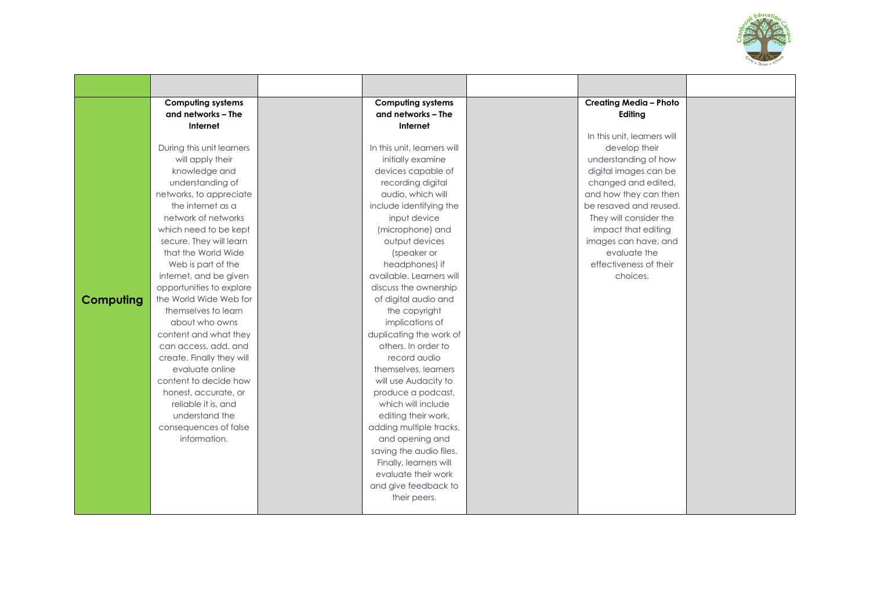

|           | <b>Computing systems</b>  | Computing systems           | <b>Creating Media - Photo</b> |  |
|-----------|---------------------------|-----------------------------|-------------------------------|--|
|           | and networks - The        | and networks - The          | Editing                       |  |
|           | Internet                  | Internet                    |                               |  |
|           |                           |                             | In this unit, learners will   |  |
|           | During this unit learners | In this unit, learners will | develop their                 |  |
|           | will apply their          | initially examine           | understanding of how          |  |
|           | knowledge and             | devices capable of          | digital images can be         |  |
|           | understanding of          | recording digital           | changed and edited,           |  |
|           | networks, to appreciate   | audio, which will           | and how they can then         |  |
|           | the internet as a         | include identifying the     | be resaved and reused.        |  |
|           | network of networks       | input device                | They will consider the        |  |
|           | which need to be kept     | (microphone) and            | impact that editing           |  |
|           | secure. They will learn   | output devices              | images can have, and          |  |
|           | that the World Wide       | (speaker or                 | evaluate the                  |  |
|           | Web is part of the        | headphones) if              | effectiveness of their        |  |
|           | internet, and be given    | available. Learners will    | choices.                      |  |
|           | opportunities to explore  | discuss the ownership       |                               |  |
| Computing | the World Wide Web for    | of digital audio and        |                               |  |
|           | themselves to learn       | the copyright               |                               |  |
|           | about who owns            | implications of             |                               |  |
|           | content and what they     | duplicating the work of     |                               |  |
|           | can access, add, and      | others. In order to         |                               |  |
|           | create. Finally they will | record audio                |                               |  |
|           | evaluate online           | themselves, learners        |                               |  |
|           | content to decide how     | will use Audacity to        |                               |  |
|           | honest, accurate, or      | produce a podcast,          |                               |  |
|           | reliable it is, and       | which will include          |                               |  |
|           | understand the            | editing their work,         |                               |  |
|           | consequences of false     | adding multiple tracks,     |                               |  |
|           | information.              | and opening and             |                               |  |
|           |                           | saving the audio files.     |                               |  |
|           |                           | Finally, learners will      |                               |  |
|           |                           | evaluate their work         |                               |  |
|           |                           | and give feedback to        |                               |  |
|           |                           | their peers.                |                               |  |
|           |                           |                             |                               |  |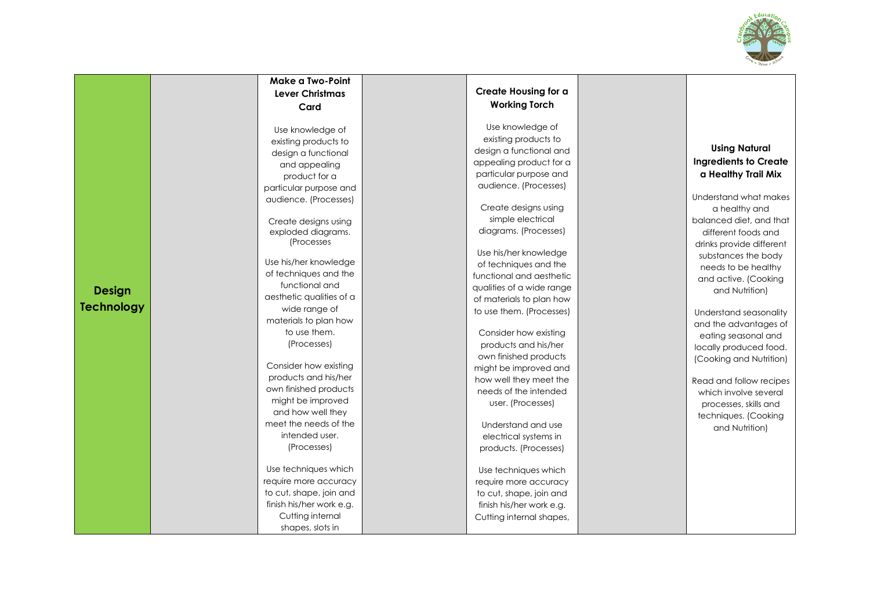

|                                    | <b>Make a Two-Point</b>                                                                                                                                                                                                                                                                                                                                                                                                                                                                                                                                                 |                                                                                                                                                                                                                                                                                                                                                                                                                                                                                                                                                                                                                                               |                                                                                                                                                                                                                                                                                                                                                                                                                                                                                                                                                   |
|------------------------------------|-------------------------------------------------------------------------------------------------------------------------------------------------------------------------------------------------------------------------------------------------------------------------------------------------------------------------------------------------------------------------------------------------------------------------------------------------------------------------------------------------------------------------------------------------------------------------|-----------------------------------------------------------------------------------------------------------------------------------------------------------------------------------------------------------------------------------------------------------------------------------------------------------------------------------------------------------------------------------------------------------------------------------------------------------------------------------------------------------------------------------------------------------------------------------------------------------------------------------------------|---------------------------------------------------------------------------------------------------------------------------------------------------------------------------------------------------------------------------------------------------------------------------------------------------------------------------------------------------------------------------------------------------------------------------------------------------------------------------------------------------------------------------------------------------|
|                                    | <b>Lever Christmas</b>                                                                                                                                                                                                                                                                                                                                                                                                                                                                                                                                                  | Create Housing for a                                                                                                                                                                                                                                                                                                                                                                                                                                                                                                                                                                                                                          |                                                                                                                                                                                                                                                                                                                                                                                                                                                                                                                                                   |
|                                    | Card                                                                                                                                                                                                                                                                                                                                                                                                                                                                                                                                                                    | <b>Working Torch</b>                                                                                                                                                                                                                                                                                                                                                                                                                                                                                                                                                                                                                          |                                                                                                                                                                                                                                                                                                                                                                                                                                                                                                                                                   |
| <b>Design</b><br><b>Technology</b> | Use knowledge of<br>existing products to<br>design a functional<br>and appealing<br>product for a<br>particular purpose and<br>audience. (Processes)<br>Create designs using<br>exploded diagrams.<br>(Processes<br>Use his/her knowledge<br>of techniques and the<br>functional and<br>aesthetic qualities of a<br>wide range of<br>materials to plan how<br>to use them.<br>(Processes)<br>Consider how existing<br>products and his/her<br>own finished products<br>might be improved<br>and how well they<br>meet the needs of the<br>intended user.<br>(Processes) | Use knowledge of<br>existing products to<br>design a functional and<br>appealing product for a<br>particular purpose and<br>audience. (Processes)<br>Create designs using<br>simple electrical<br>diagrams. (Processes)<br>Use his/her knowledge<br>of techniques and the<br>functional and aesthetic<br>qualities of a wide range<br>of materials to plan how<br>to use them. (Processes)<br>Consider how existing<br>products and his/her<br>own finished products<br>might be improved and<br>how well they meet the<br>needs of the intended<br>user. (Processes)<br>Understand and use<br>electrical systems in<br>products. (Processes) | <b>Using Natural</b><br><b>Ingredients to Create</b><br>a Healthy Trail Mix<br>Understand what makes<br>a healthy and<br>balanced diet, and that<br>different foods and<br>drinks provide different<br>substances the body<br>needs to be healthy<br>and active. (Cooking<br>and Nutrition)<br>Understand seasonality<br>and the advantages of<br>eating seasonal and<br>locally produced food.<br>(Cooking and Nutrition)<br>Read and follow recipes<br>which involve several<br>processes, skills and<br>techniques. (Cooking<br>and Nutrition) |
|                                    | Use techniques which<br>require more accuracy<br>to cut, shape, join and<br>finish his/her work e.g.                                                                                                                                                                                                                                                                                                                                                                                                                                                                    | Use techniques which<br>require more accuracy<br>to cut, shape, join and<br>finish his/her work e.g.                                                                                                                                                                                                                                                                                                                                                                                                                                                                                                                                          |                                                                                                                                                                                                                                                                                                                                                                                                                                                                                                                                                   |
|                                    | Cutting internal<br>shapes, slots in                                                                                                                                                                                                                                                                                                                                                                                                                                                                                                                                    | Cutting internal shapes,                                                                                                                                                                                                                                                                                                                                                                                                                                                                                                                                                                                                                      |                                                                                                                                                                                                                                                                                                                                                                                                                                                                                                                                                   |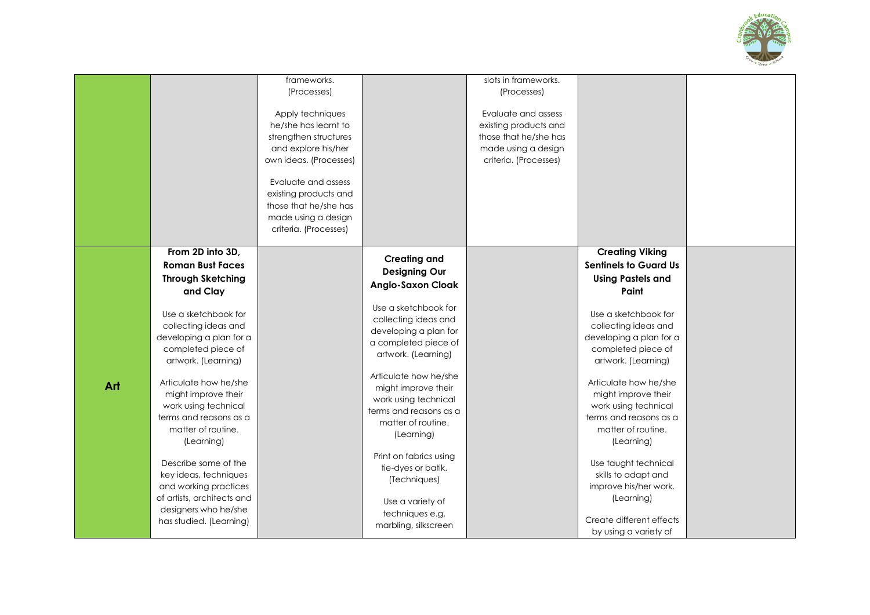

|     |                            | frameworks.            |                          | slots in frameworks.  |                              |  |
|-----|----------------------------|------------------------|--------------------------|-----------------------|------------------------------|--|
|     |                            |                        |                          |                       |                              |  |
|     |                            | (Processes)            |                          | (Processes)           |                              |  |
|     |                            |                        |                          |                       |                              |  |
|     |                            | Apply techniques       |                          | Evaluate and assess   |                              |  |
|     |                            | he/she has learnt to   |                          | existing products and |                              |  |
|     |                            | strengthen structures  |                          | those that he/she has |                              |  |
|     |                            | and explore his/her    |                          | made using a design   |                              |  |
|     |                            | own ideas. (Processes) |                          | criteria. (Processes) |                              |  |
|     |                            |                        |                          |                       |                              |  |
|     |                            | Evaluate and assess    |                          |                       |                              |  |
|     |                            | existing products and  |                          |                       |                              |  |
|     |                            | those that he/she has  |                          |                       |                              |  |
|     |                            |                        |                          |                       |                              |  |
|     |                            | made using a design    |                          |                       |                              |  |
|     |                            | criteria. (Processes)  |                          |                       |                              |  |
|     |                            |                        |                          |                       |                              |  |
|     |                            |                        |                          |                       |                              |  |
|     | From 2D into 3D,           |                        | <b>Creating and</b>      |                       | <b>Creating Viking</b>       |  |
|     | <b>Roman Bust Faces</b>    |                        |                          |                       | <b>Sentinels to Guard Us</b> |  |
|     | <b>Through Sketching</b>   |                        | <b>Designing Our</b>     |                       | <b>Using Pastels and</b>     |  |
|     |                            |                        | <b>Anglo-Saxon Cloak</b> |                       |                              |  |
|     | and Clay                   |                        |                          |                       | Paint                        |  |
|     |                            |                        |                          |                       |                              |  |
|     | Use a sketchbook for       |                        | Use a sketchbook for     |                       | Use a sketchbook for         |  |
|     |                            |                        | collecting ideas and     |                       |                              |  |
|     | collecting ideas and       |                        | developing a plan for    |                       | collecting ideas and         |  |
|     | developing a plan for a    |                        | a completed piece of     |                       | developing a plan for a      |  |
|     | completed piece of         |                        |                          |                       | completed piece of           |  |
|     | artwork. (Learning)        |                        | artwork. (Learning)      |                       | artwork. (Learning)          |  |
|     |                            |                        |                          |                       |                              |  |
| Art | Articulate how he/she      |                        | Articulate how he/she    |                       | Articulate how he/she        |  |
|     | might improve their        |                        | might improve their      |                       | might improve their          |  |
|     |                            |                        | work using technical     |                       |                              |  |
|     | work using technical       |                        | terms and reasons as a   |                       | work using technical         |  |
|     | terms and reasons as a     |                        | matter of routine.       |                       | terms and reasons as a       |  |
|     | matter of routine.         |                        |                          |                       | matter of routine.           |  |
|     | (Learning)                 |                        | (Learning)               |                       | (Learning)                   |  |
|     |                            |                        |                          |                       |                              |  |
|     |                            |                        | Print on fabrics using   |                       |                              |  |
|     | Describe some of the       |                        | tie-dyes or batik.       |                       | Use taught technical         |  |
|     | key ideas, techniques      |                        | (Techniques)             |                       | skills to adapt and          |  |
|     | and working practices      |                        |                          |                       | improve his/her work.        |  |
|     | of artists, architects and |                        |                          |                       | (Learning)                   |  |
|     | designers who he/she       |                        | Use a variety of         |                       |                              |  |
|     |                            |                        | techniques e.g.          |                       |                              |  |
|     | has studied. (Learning)    |                        | marbling, silkscreen     |                       | Create different effects     |  |
|     |                            |                        |                          |                       | by using a variety of        |  |
|     |                            |                        |                          |                       |                              |  |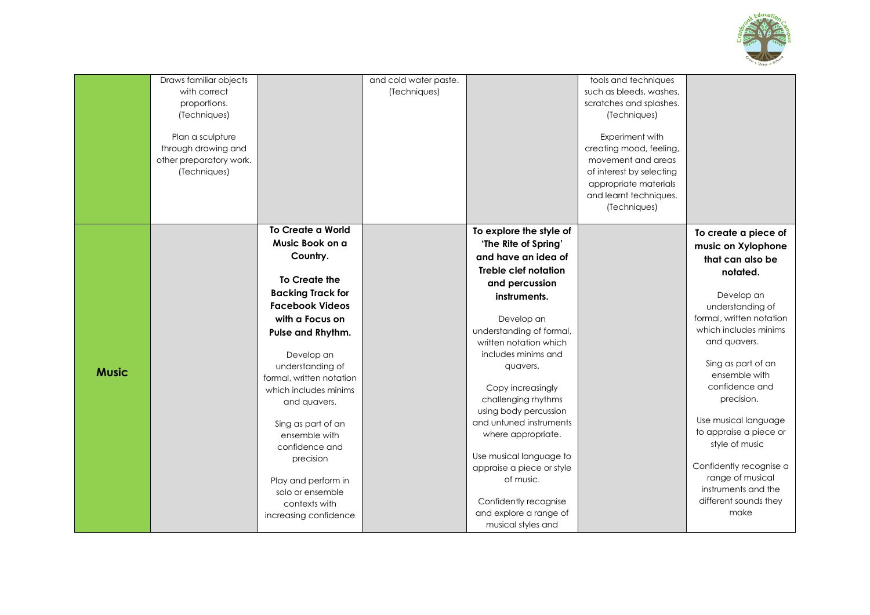

|              | Draws familiar objects<br>with correct<br>proportions.<br>(Techniques)<br>Plan a sculpture<br>through drawing and<br>other preparatory work.<br>(Techniques) |                                                                                                | and cold water paste.<br>(Techniques) |                                                                                                                      | tools and techniques<br>such as bleeds, washes,<br>scratches and splashes.<br>(Techniques)<br>Experiment with<br>creating mood, feeling,<br>movement and areas<br>of interest by selecting<br>appropriate materials |                                                                                                     |
|--------------|--------------------------------------------------------------------------------------------------------------------------------------------------------------|------------------------------------------------------------------------------------------------|---------------------------------------|----------------------------------------------------------------------------------------------------------------------|---------------------------------------------------------------------------------------------------------------------------------------------------------------------------------------------------------------------|-----------------------------------------------------------------------------------------------------|
|              |                                                                                                                                                              |                                                                                                |                                       |                                                                                                                      | and learnt techniques.<br>(Techniques)                                                                                                                                                                              |                                                                                                     |
|              |                                                                                                                                                              | <b>To Create a World</b><br>Music Book on a<br>Country.                                        |                                       | To explore the style of<br>'The Rite of Spring'<br>and have an idea of<br><b>Treble clef notation</b>                |                                                                                                                                                                                                                     | To create a piece of<br>music on Xylophone<br>that can also be<br>notated.                          |
|              |                                                                                                                                                              | <b>To Create the</b><br><b>Backing Track for</b>                                               |                                       | and percussion                                                                                                       |                                                                                                                                                                                                                     |                                                                                                     |
|              |                                                                                                                                                              | <b>Facebook Videos</b>                                                                         |                                       | instruments.                                                                                                         |                                                                                                                                                                                                                     | Develop an<br>understanding of                                                                      |
|              |                                                                                                                                                              | with a Focus on<br>Pulse and Rhythm.                                                           |                                       | Develop an<br>understanding of formal,<br>written notation which                                                     |                                                                                                                                                                                                                     | formal, written notation<br>which includes minims<br>and quavers.                                   |
| <b>Music</b> |                                                                                                                                                              | Develop an<br>understanding of<br>formal, written notation<br>which includes minims            |                                       | includes minims and<br>quavers.<br>Copy increasingly                                                                 |                                                                                                                                                                                                                     | Sing as part of an<br>ensemble with<br>confidence and                                               |
|              |                                                                                                                                                              | and quavers.<br>Sing as part of an<br>ensemble with<br>confidence and                          |                                       | challenging rhythms<br>using body percussion<br>and untuned instruments<br>where appropriate.                        |                                                                                                                                                                                                                     | precision.<br>Use musical language<br>to appraise a piece or<br>style of music                      |
|              |                                                                                                                                                              | precision<br>Play and perform in<br>solo or ensemble<br>contexts with<br>increasing confidence |                                       | Use musical language to<br>appraise a piece or style<br>of music.<br>Confidently recognise<br>and explore a range of |                                                                                                                                                                                                                     | Confidently recognise a<br>range of musical<br>instruments and the<br>different sounds they<br>make |
|              |                                                                                                                                                              |                                                                                                |                                       | musical styles and                                                                                                   |                                                                                                                                                                                                                     |                                                                                                     |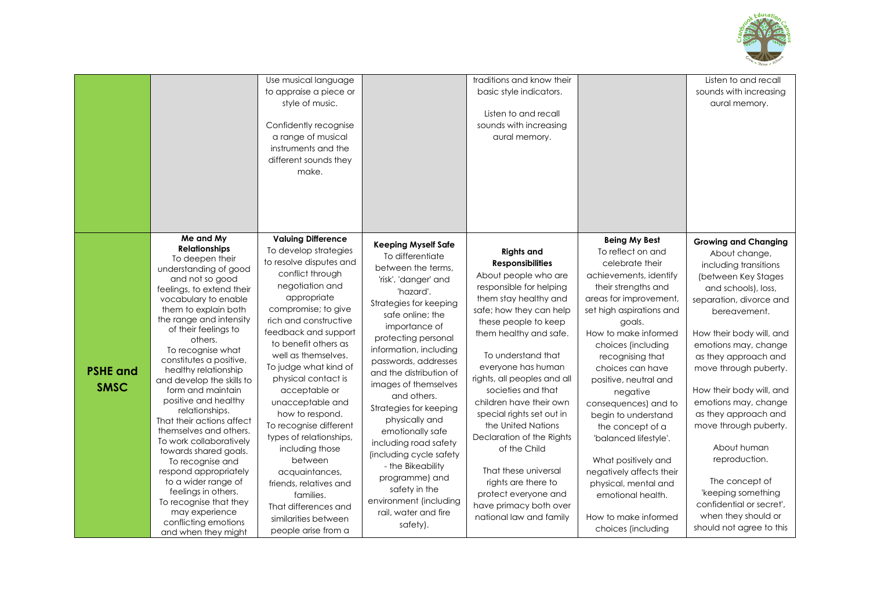

|                                | Me and My                                                                                                                                                                                                                                                                                                                                                                                                                                                                                                                                                                                                                                                                                           | Use musical language<br>to appraise a piece or<br>style of music.<br>Confidently recognise<br>a range of musical<br>instruments and the<br>different sounds they<br>make.<br><b>Valuing Difference</b>                                                                                                                                                                                                                                                                                                                                                   |                                                                                                                                                                                                                                                                                                                                                                                                                                                                                                                                                               | traditions and know their<br>basic style indicators.<br>Listen to and recall<br>sounds with increasing<br>aural memory.                                                                                                                                                                                                                                                                                                                                                                                                                                       | <b>Being My Best</b>                                                                                                                                                                                                                                                                                                                                                                                                                                                                                                       | Listen to and recall<br>sounds with increasing<br>aural memory.<br><b>Growing and Changing</b>                                                                                                                                                                                                                                                                                                                                                                                                   |
|--------------------------------|-----------------------------------------------------------------------------------------------------------------------------------------------------------------------------------------------------------------------------------------------------------------------------------------------------------------------------------------------------------------------------------------------------------------------------------------------------------------------------------------------------------------------------------------------------------------------------------------------------------------------------------------------------------------------------------------------------|----------------------------------------------------------------------------------------------------------------------------------------------------------------------------------------------------------------------------------------------------------------------------------------------------------------------------------------------------------------------------------------------------------------------------------------------------------------------------------------------------------------------------------------------------------|---------------------------------------------------------------------------------------------------------------------------------------------------------------------------------------------------------------------------------------------------------------------------------------------------------------------------------------------------------------------------------------------------------------------------------------------------------------------------------------------------------------------------------------------------------------|---------------------------------------------------------------------------------------------------------------------------------------------------------------------------------------------------------------------------------------------------------------------------------------------------------------------------------------------------------------------------------------------------------------------------------------------------------------------------------------------------------------------------------------------------------------|----------------------------------------------------------------------------------------------------------------------------------------------------------------------------------------------------------------------------------------------------------------------------------------------------------------------------------------------------------------------------------------------------------------------------------------------------------------------------------------------------------------------------|--------------------------------------------------------------------------------------------------------------------------------------------------------------------------------------------------------------------------------------------------------------------------------------------------------------------------------------------------------------------------------------------------------------------------------------------------------------------------------------------------|
| <b>PSHE and</b><br><b>SMSC</b> | <b>Relationships</b><br>To deepen their<br>understanding of good<br>and not so good<br>feelings, to extend their<br>vocabulary to enable<br>them to explain both<br>the range and intensity<br>of their feelings to<br>others.<br>To recognise what<br>constitutes a positive,<br>healthy relationship<br>and develop the skills to<br>form and maintain<br>positive and healthy<br>relationships.<br>That their actions affect<br>themselves and others.<br>To work collaboratively<br>towards shared goals.<br>To recognise and<br>respond appropriately<br>to a wider range of<br>feelings in others.<br>To recognise that they<br>may experience<br>conflicting emotions<br>and when they might | To develop strategies<br>to resolve disputes and<br>conflict through<br>negotiation and<br>appropriate<br>compromise; to give<br>rich and constructive<br>feedback and support<br>to benefit others as<br>well as themselves.<br>To judge what kind of<br>physical contact is<br>acceptable or<br>unacceptable and<br>how to respond.<br>To recognise different<br>types of relationships,<br>including those<br>between<br>acquaintances,<br>friends, relatives and<br>families.<br>That differences and<br>similarities between<br>people arise from a | <b>Keeping Myself Safe</b><br>To differentiate<br>between the terms.<br>'risk', 'danger' and<br>'hazard'.<br>Strategies for keeping<br>safe online; the<br>importance of<br>protecting personal<br>information, including<br>passwords, addresses<br>and the distribution of<br>images of themselves<br>and others.<br>Strategies for keeping<br>physically and<br>emotionally safe<br>including road safety<br>(including cycle safety<br>- the Bikeability<br>programme) and<br>safety in the<br>environment (including<br>rail, water and fire<br>safety). | <b>Rights and</b><br><b>Responsibilities</b><br>About people who are<br>responsible for helping<br>them stay healthy and<br>safe; how they can help<br>these people to keep<br>them healthy and safe.<br>To understand that<br>everyone has human<br>rights, all peoples and all<br>societies and that<br>children have their own<br>special rights set out in<br>the United Nations<br>Declaration of the Rights<br>of the Child<br>That these universal<br>rights are there to<br>protect everyone and<br>have primacy both over<br>national law and family | To reflect on and<br>celebrate their<br>achievements, identify<br>their strengths and<br>areas for improvement,<br>set high aspirations and<br>goals.<br>How to make informed<br>choices (including<br>recognising that<br>choices can have<br>positive, neutral and<br>negative<br>consequences) and to<br>begin to understand<br>the concept of a<br>'balanced lifestyle'.<br>What positively and<br>negatively affects their<br>physical, mental and<br>emotional health.<br>How to make informed<br>choices (including | About change,<br>including transitions<br>(between Key Stages<br>and schools), loss,<br>separation, divorce and<br>bereavement.<br>How their body will, and<br>emotions may, change<br>as they approach and<br>move through puberty.<br>How their body will, and<br>emotions may, change<br>as they approach and<br>move through puberty.<br>About human<br>reproduction.<br>The concept of<br>'keeping something<br>confidential or secret',<br>when they should or<br>should not agree to this |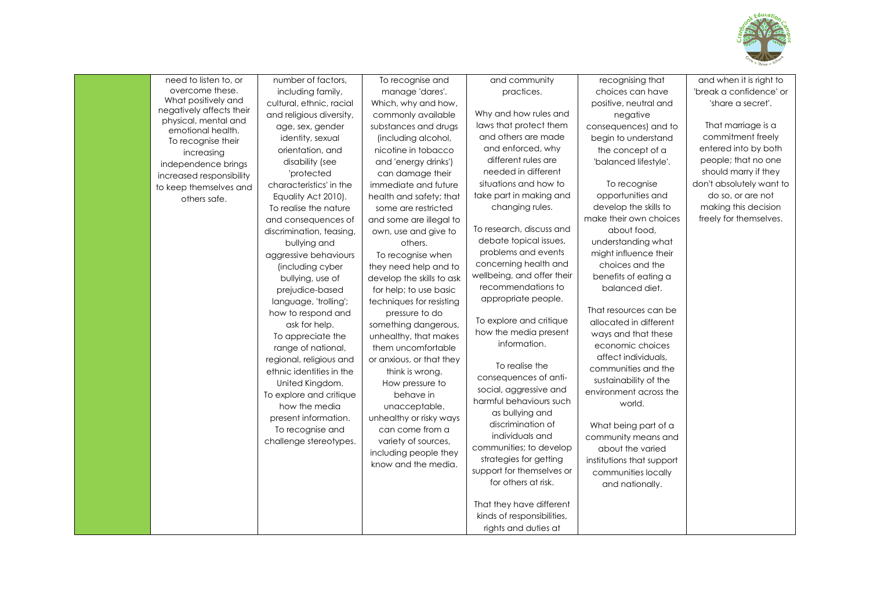

| need to listen to, or                  | number of factors,       | To recognise and          | and community              | recognising that          | and when it is right to  |
|----------------------------------------|--------------------------|---------------------------|----------------------------|---------------------------|--------------------------|
| overcome these.                        | including family,        | manage 'dares'.           | practices.                 | choices can have          | 'break a confidence' or  |
| What positively and                    | cultural, ethnic, racial | Which, why and how,       |                            | positive, neutral and     | 'share a secret'.        |
| negatively affects their               | and religious diversity, | commonly available        | Why and how rules and      | negative                  |                          |
| physical, mental and                   | age, sex, gender         | substances and drugs      | laws that protect them     | consequences) and to      | That marriage is a       |
| emotional health.                      | identity, sexual         | (including alcohol,       | and others are made        | begin to understand       | commitment freely        |
| To recognise their                     | orientation, and         | nicotine in tobacco       | and enforced, why          | the concept of a          | entered into by both     |
| increasing                             | disability (see          | and 'energy drinks')      | different rules are        | 'balanced lifestyle'.     | people; that no one      |
| independence brings                    | 'protected               | can damage their          | needed in different        |                           | should marry if they     |
| increased responsibility               | characteristics' in the  | immediate and future      | situations and how to      | To recognise              | don't absolutely want to |
| to keep themselves and<br>others safe. | Equality Act 2010).      | health and safety; that   | take part in making and    | opportunities and         | do so, or are not        |
|                                        | To realise the nature    | some are restricted       | changing rules.            | develop the skills to     | making this decision     |
|                                        | and consequences of      | and some are illegal to   |                            | make their own choices    | freely for themselves.   |
|                                        | discrimination, teasing, | own, use and give to      | To research, discuss and   | about food,               |                          |
|                                        | bullying and             | others.                   | debate topical issues,     | understanding what        |                          |
|                                        | aggressive behaviours    | To recognise when         | problems and events        | might influence their     |                          |
|                                        | (including cyber         | they need help and to     | concerning health and      | choices and the           |                          |
|                                        | bullying, use of         | develop the skills to ask | wellbeing, and offer their | benefits of eating a      |                          |
|                                        | prejudice-based          | for help; to use basic    | recommendations to         | balanced diet.            |                          |
|                                        | language, 'trolling';    | techniques for resisting  | appropriate people.        |                           |                          |
|                                        | how to respond and       | pressure to do            |                            | That resources can be     |                          |
|                                        | ask for help.            | something dangerous,      | To explore and critique    | allocated in different    |                          |
|                                        | To appreciate the        | unhealthy, that makes     | how the media present      | ways and that these       |                          |
|                                        | range of national,       | them uncomfortable        | information.               | economic choices          |                          |
|                                        | regional, religious and  | or anxious, or that they  |                            | affect individuals,       |                          |
|                                        | ethnic identities in the | think is wrong.           | To realise the             | communities and the       |                          |
|                                        | United Kingdom.          | How pressure to           | consequences of anti-      | sustainability of the     |                          |
|                                        | To explore and critique  | behave in                 | social, aggressive and     | environment across the    |                          |
|                                        | how the media            | unacceptable,             | harmful behaviours such    | world.                    |                          |
|                                        | present information.     | unhealthy or risky ways   | as bullying and            |                           |                          |
|                                        | To recognise and         | can come from a           | discrimination of          | What being part of a      |                          |
|                                        | challenge stereotypes.   | variety of sources,       | individuals and            | community means and       |                          |
|                                        |                          | including people they     | communities; to develop    | about the varied          |                          |
|                                        |                          | know and the media.       | strategies for getting     | institutions that support |                          |
|                                        |                          |                           | support for themselves or  | communities locally       |                          |
|                                        |                          |                           | for others at risk.        | and nationally.           |                          |
|                                        |                          |                           |                            |                           |                          |
|                                        |                          |                           | That they have different   |                           |                          |
|                                        |                          |                           | kinds of responsibilities, |                           |                          |
|                                        |                          |                           | rights and duties at       |                           |                          |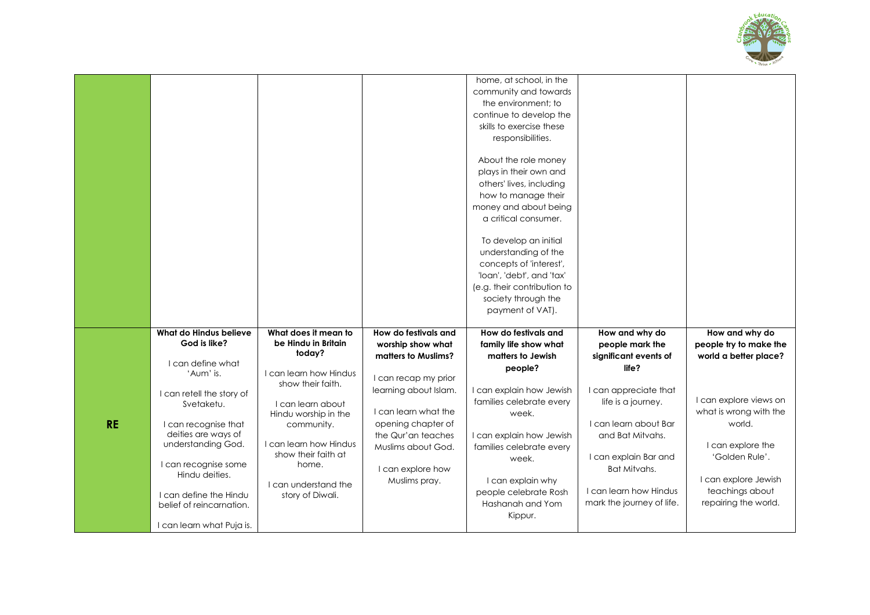

|           |                                                                                                                                                                                                                                                                                                                       |                                                                                                                                                                                                                                                                     |                                                                                                                                                                                                                                                   | home, at school, in the<br>community and towards<br>the environment; to<br>continue to develop the<br>skills to exercise these<br>responsibilities.<br>About the role money<br>plays in their own and<br>others' lives, including<br>how to manage their<br>money and about being<br>a critical consumer.<br>To develop an initial<br>understanding of the<br>concepts of 'interest',<br>'loan', 'debt', and 'tax'<br>(e.g. their contribution to<br>society through the<br>payment of VAT). |                                                                                                                                                                                                                                                                 |                                                                                                                                                                                                                                           |
|-----------|-----------------------------------------------------------------------------------------------------------------------------------------------------------------------------------------------------------------------------------------------------------------------------------------------------------------------|---------------------------------------------------------------------------------------------------------------------------------------------------------------------------------------------------------------------------------------------------------------------|---------------------------------------------------------------------------------------------------------------------------------------------------------------------------------------------------------------------------------------------------|----------------------------------------------------------------------------------------------------------------------------------------------------------------------------------------------------------------------------------------------------------------------------------------------------------------------------------------------------------------------------------------------------------------------------------------------------------------------------------------------|-----------------------------------------------------------------------------------------------------------------------------------------------------------------------------------------------------------------------------------------------------------------|-------------------------------------------------------------------------------------------------------------------------------------------------------------------------------------------------------------------------------------------|
| <b>RE</b> | What do Hindus believe<br>God is like?<br>I can define what<br>'Aum' is.<br>I can retell the story of<br>Svetaketu.<br>I can recognise that<br>deities are ways of<br>understanding God.<br>I can recognise some<br>Hindu deities.<br>I can define the Hindu<br>belief of reincarnation.<br>I can learn what Puja is. | What does it mean to<br>be Hindu in Britain<br>today?<br>I can learn how Hindus<br>show their faith.<br>I can learn about<br>Hindu worship in the<br>community.<br>can learn how Hindus<br>show their faith at<br>home.<br>I can understand the<br>story of Diwali. | How do festivals and<br>worship show what<br>matters to Muslims?<br>I can recap my prior<br>learning about Islam.<br>I can learn what the<br>opening chapter of<br>the Qur'an teaches<br>Muslims about God.<br>I can explore how<br>Muslims pray. | How do festivals and<br>family life show what<br>matters to Jewish<br>people?<br>I can explain how Jewish<br>families celebrate every<br>week.<br>I can explain how Jewish<br>families celebrate every<br>week.<br>I can explain why<br>people celebrate Rosh<br>Hashanah and Yom<br>Kippur.                                                                                                                                                                                                 | How and why do<br>people mark the<br>significant events of<br>life?<br>I can appreciate that<br>life is a journey.<br>I can learn about Bar<br>and Bat Mitvahs.<br>I can explain Bar and<br>Bat Mitvahs.<br>I can learn how Hindus<br>mark the journey of life. | How and why do<br>people try to make the<br>world a better place?<br>I can explore views on<br>what is wrong with the<br>world.<br>I can explore the<br>'Golden Rule'.<br>I can explore Jewish<br>teachings about<br>repairing the world. |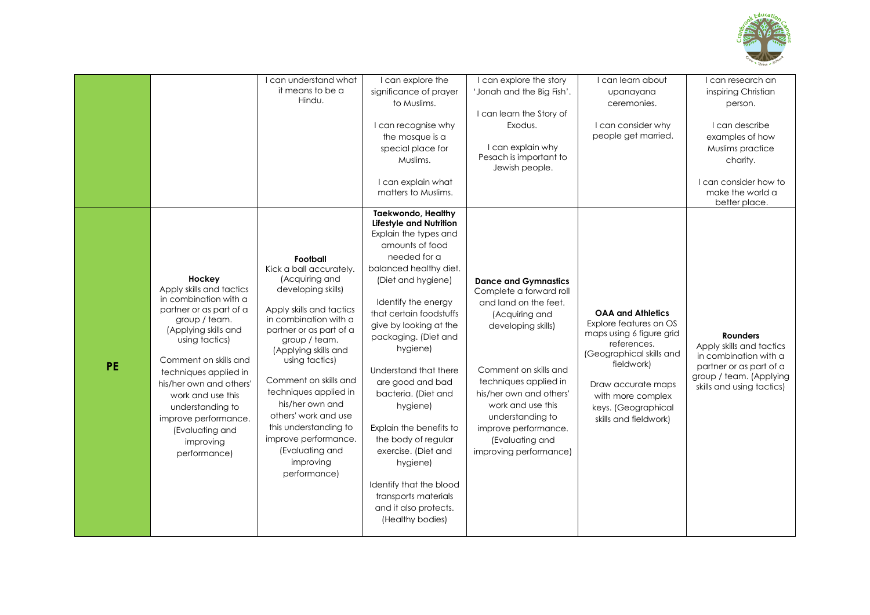

|           |                                                                                                                                                                                                                                                                                                                                                 | I can understand what<br>it means to be a<br>Hindu.                                                                                                                                                                                                                                                                                                                                                                  | I can explore the<br>significance of prayer<br>to Muslims.<br>I can recognise why<br>the mosque is a<br>special place for<br>Muslims.<br>I can explain what<br>matters to Muslims.<br><b>Taekwondo, Healthy</b>                                                                                                                                                                                                                                                                                                                 | I can explore the story<br>'Jonah and the Big Fish'.<br>I can learn the Story of<br>Exodus.<br>I can explain why<br>Pesach is important to<br>Jewish people.                                                                                                                                                       | l can learn about<br>upanayana<br>ceremonies.<br>I can consider why<br>people get married.                                                                                                                                         | l can research an<br>inspiring Christian<br>person.<br>I can describe<br>examples of how<br>Muslims practice<br>charity.<br>I can consider how to<br>make the world a<br>better place. |
|-----------|-------------------------------------------------------------------------------------------------------------------------------------------------------------------------------------------------------------------------------------------------------------------------------------------------------------------------------------------------|----------------------------------------------------------------------------------------------------------------------------------------------------------------------------------------------------------------------------------------------------------------------------------------------------------------------------------------------------------------------------------------------------------------------|---------------------------------------------------------------------------------------------------------------------------------------------------------------------------------------------------------------------------------------------------------------------------------------------------------------------------------------------------------------------------------------------------------------------------------------------------------------------------------------------------------------------------------|--------------------------------------------------------------------------------------------------------------------------------------------------------------------------------------------------------------------------------------------------------------------------------------------------------------------|------------------------------------------------------------------------------------------------------------------------------------------------------------------------------------------------------------------------------------|----------------------------------------------------------------------------------------------------------------------------------------------------------------------------------------|
| <b>PE</b> | Hockey<br>Apply skills and tactics<br>in combination with a<br>partner or as part of a<br>group / team.<br>(Applying skills and<br>using tactics)<br>Comment on skills and<br>techniques applied in<br>his/her own and others'<br>work and use this<br>understanding to<br>improve performance.<br>(Evaluating and<br>improving<br>performance) | Football<br>Kick a ball accurately.<br>(Acquiring and<br>developing skills)<br>Apply skills and tactics<br>in combination with a<br>partner or as part of a<br>group / team.<br>(Applying skills and<br>using tactics)<br>Comment on skills and<br>techniques applied in<br>his/her own and<br>others' work and use<br>this understanding to<br>improve performance.<br>(Evaluating and<br>improving<br>performance) | <b>Lifestyle and Nutrition</b><br>Explain the types and<br>amounts of food<br>needed for a<br>balanced healthy diet.<br>(Diet and hygiene)<br>Identify the energy<br>that certain foodstuffs<br>give by looking at the<br>packaging. (Diet and<br>hygiene)<br>Understand that there<br>are good and bad<br>bacteria. (Diet and<br>hygiene)<br>Explain the benefits to<br>the body of regular<br>exercise. (Diet and<br>hygiene)<br>Identify that the blood<br>transports materials<br>and it also protects.<br>(Healthy bodies) | <b>Dance and Gymnastics</b><br>Complete a forward roll<br>and land on the feet.<br>(Acquiring and<br>developing skills)<br>Comment on skills and<br>techniques applied in<br>his/her own and others'<br>work and use this<br>understanding to<br>improve performance.<br>(Evaluating and<br>improving performance) | <b>OAA and Athletics</b><br>Explore features on OS<br>maps using 6 figure grid<br>references.<br>(Geographical skills and<br>fieldwork)<br>Draw accurate maps<br>with more complex<br>keys. (Geographical<br>skills and fieldwork) | <b>Rounders</b><br>Apply skills and tactics<br>in combination with a<br>partner or as part of a<br>group / team. (Applying<br>skills and using tactics)                                |